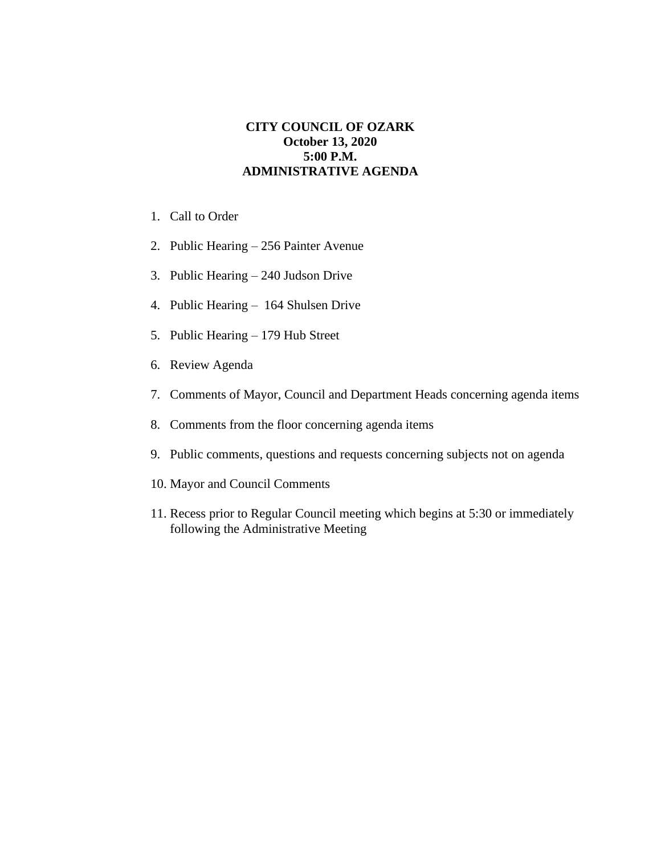## **CITY COUNCIL OF OZARK October 13, 2020 5:00 P.M. ADMINISTRATIVE AGENDA**

- 1. Call to Order
- 2. Public Hearing 256 Painter Avenue
- 3. Public Hearing 240 Judson Drive
- 4. Public Hearing 164 Shulsen Drive
- 5. Public Hearing 179 Hub Street
- 6. Review Agenda
- 7. Comments of Mayor, Council and Department Heads concerning agenda items
- 8. Comments from the floor concerning agenda items
- 9. Public comments, questions and requests concerning subjects not on agenda
- 10. Mayor and Council Comments
- 11. Recess prior to Regular Council meeting which begins at 5:30 or immediately following the Administrative Meeting